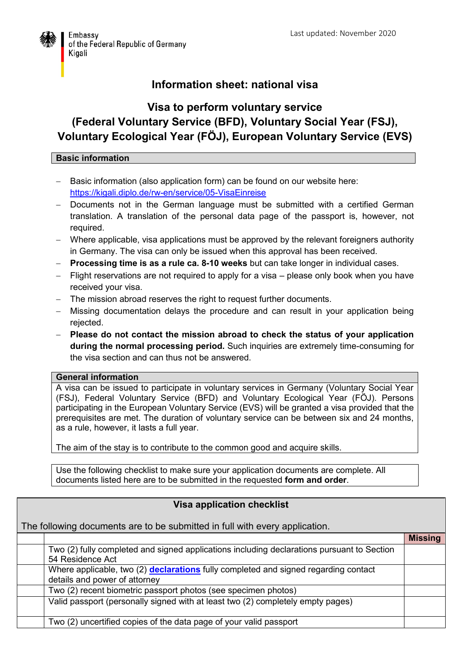

## **Information sheet: national visa**

## **Visa to perform voluntary service (Federal Voluntary Service (BFD), Voluntary Social Year (FSJ), Voluntary Ecological Year (FÖJ), European Voluntary Service (EVS)**

## **Basic information**

- Basic information (also application form) can be found on our website here: <https://kigali.diplo.de/rw-en/service/05-VisaEinreise>
- Documents not in the German language must be submitted with a certified German translation. A translation of the personal data page of the passport is, however, not required.
- Where applicable, visa applications must be approved by the relevant foreigners authority in Germany. The visa can only be issued when this approval has been received.
- **Processing time is as a rule ca. 8-10 weeks** but can take longer in individual cases.
- Flight reservations are not required to apply for a visa please only book when you have received your visa.
- The mission abroad reserves the right to request further documents.
- Missing documentation delays the procedure and can result in your application being rejected.
- **Please do not contact the mission abroad to check the status of your application during the normal processing period.** Such inquiries are extremely time-consuming for the visa section and can thus not be answered.

## **General information**

A visa can be issued to participate in voluntary services in Germany (Voluntary Social Year (FSJ), Federal Voluntary Service (BFD) and Voluntary Ecological Year (FÖJ). Persons participating in the European Voluntary Service (EVS) will be granted a visa provided that the prerequisites are met. The duration of voluntary service can be between six and 24 months, as a rule, however, it lasts a full year.

The aim of the stay is to contribute to the common good and acquire skills.

Use the following checklist to make sure your application documents are complete. All documents listed here are to be submitted in the requested **form and order**.

| <b>Visa application checklist</b>                                           |                                                                                                                      |                |  |
|-----------------------------------------------------------------------------|----------------------------------------------------------------------------------------------------------------------|----------------|--|
| The following documents are to be submitted in full with every application. |                                                                                                                      |                |  |
|                                                                             |                                                                                                                      | <b>Missing</b> |  |
|                                                                             | Two (2) fully completed and signed applications including declarations pursuant to Section<br>54 Residence Act       |                |  |
|                                                                             | Where applicable, two (2) declarations fully completed and signed regarding contact<br>details and power of attorney |                |  |
|                                                                             | Two (2) recent biometric passport photos (see specimen photos)                                                       |                |  |
|                                                                             | Valid passport (personally signed with at least two (2) completely empty pages)                                      |                |  |
|                                                                             | Two (2) uncertified copies of the data page of your valid passport                                                   |                |  |